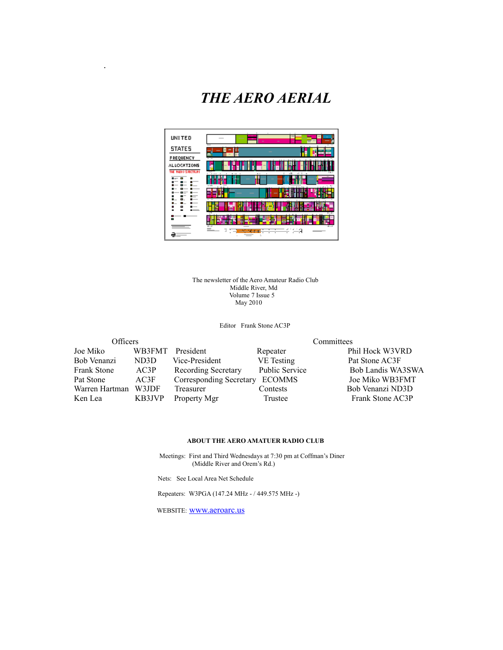# *THE AERO AERIAL*

.



The newsletter of the Aero Amateur Radio Club Middle River, Md Volume 7 Issue 5 May 2010

Editor Frank Stone AC3P

| <b>Officers</b>    |        | Committees                 |                       |                   |  |
|--------------------|--------|----------------------------|-----------------------|-------------------|--|
| Joe Miko           | WB3FMT | President                  | Repeater              | Phil Hock W3VRD   |  |
| Bob Venanzi        | ND3D   | Vice-President             | VE Testing            | Pat Stone AC3F    |  |
| <b>Frank Stone</b> | AC3P   | <b>Recording Secretary</b> | <b>Public Service</b> | Bob Landis WA3SWA |  |
| Pat Stone          | AC3F   | Corresponding Secretary    | <b>ECOMMS</b>         | Joe Miko WB3FMT   |  |
| Warren Hartman     | W3JDF  | Treasurer                  | Contests              | Bob Venanzi ND3D  |  |
| Ken Lea            | KB3JVP | Property Mgr               | Trustee               | Frank Stone AC3P  |  |

#### **ABOUT THE AERO AMATUER RADIO CLUB**

 Meetings: First and Third Wednesdays at 7:30 pm at Coffman's Diner (Middle River and Orem's Rd.)

Nets: See Local Area Net Schedule

Repeaters: W3PGA (147.24 MHz - / 449.575 MHz -)

WEBSITE: [www.aeroarc.us](http://www.aeroarc.us/)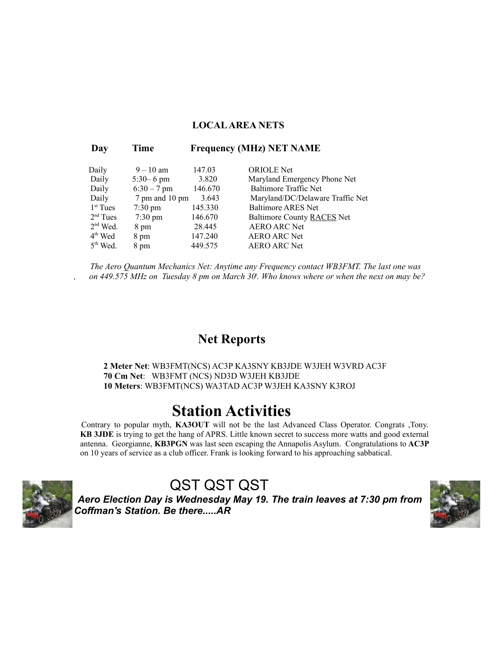#### **LOCAL AREA NETS**

| Time              |             | <b>Frequency (MHz) NET NAME</b>  |
|-------------------|-------------|----------------------------------|
|                   |             | <b>ORIOLE</b> Net                |
| $5:30 - 6$ pm     | 3.820       | Maryland Emergency Phone Net     |
| $6:30 - 7$ pm     | 146.670     | <b>Baltimore Traffic Net</b>     |
|                   | 3.643       | Maryland/DC/Delaware Traffic Net |
| $7:30 \text{ pm}$ | 145.330     | Baltimore ARES Net               |
| $7:30 \text{ pm}$ | 146.670     | Baltimore County RACES Net       |
| 8 pm              | 28.445      | <b>AERO ARC Net</b>              |
| 8 pm              | 147.240     | <b>AERO ARC Net</b>              |
| 8 pm              | 449 575     | <b>AERO ARC Net</b>              |
|                   | $9 - 10$ am | 147.03<br>7 pm and 10 pm         |

*The Aero Quantum Mechanics Net: Anytime any Frequency contact WB3FMT. The last one was , on 449.575 MHz on Tuesday 8 pm on March 30<sup>t</sup> . Who knows where or when the next on may be?*

#### **Net Reports**

#### **2 Meter Net**: WB3FMT(NCS) AC3P KA3SNY KB3JDE W3JEH W3VRD AC3F **70 Cm Net**: WB3FMT (NCS) ND3D W3JEH KB3JDE **10 Meters**: WB3FMT(NCS) WA3TAD AC3P W3JEH KA3SNY K3ROJ

#### **Station Activities**

Contrary to popular myth, **KA3OUT** will not be the last Advanced Class Operator. Congrats ,Tony. **KB 3JDE** is trying to get the hang of APRS. Little known secret to success more watts and good external antenna. Georgianne, **KB3PGN** was last seen escaping the Annapolis Asylum. Congratulations to **AC3P** on 10 years of service as a club officer. Frank is looking forward to his approaching sabbatical.



## QST QST QST

*Aero Election Day is Wednesday May 19. The train leaves at 7:30 pm from Coffman's Station. Be there.....AR* 

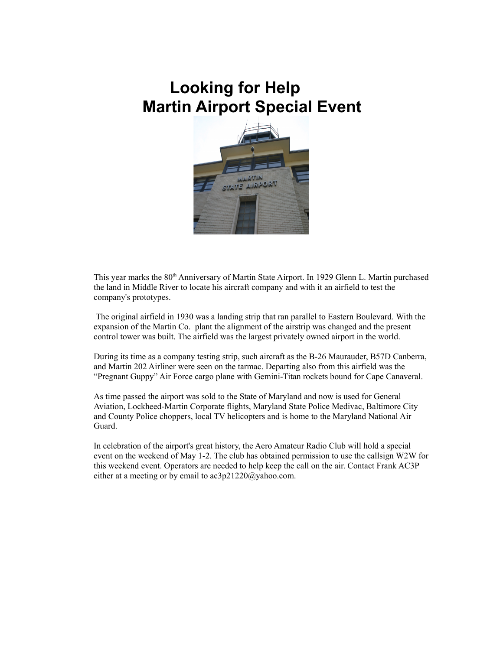# **Looking for Help Martin Airport Special Event**



This year marks the 80<sup>th</sup> Anniversary of Martin State Airport. In 1929 Glenn L. Martin purchased the land in Middle River to locate his aircraft company and with it an airfield to test the company's prototypes.

 The original airfield in 1930 was a landing strip that ran parallel to Eastern Boulevard. With the expansion of the Martin Co. plant the alignment of the airstrip was changed and the present control tower was built. The airfield was the largest privately owned airport in the world.

During its time as a company testing strip, such aircraft as the B-26 Maurauder, B57D Canberra, and Martin 202 Airliner were seen on the tarmac. Departing also from this airfield was the "Pregnant Guppy" Air Force cargo plane with Gemini-Titan rockets bound for Cape Canaveral.

As time passed the airport was sold to the State of Maryland and now is used for General Aviation, Lockheed-Martin Corporate flights, Maryland State Police Medivac, Baltimore City and County Police choppers, local TV helicopters and is home to the Maryland National Air Guard.

In celebration of the airport's great history, the Aero Amateur Radio Club will hold a special event on the weekend of May 1-2. The club has obtained permission to use the callsign W2W for this weekend event. Operators are needed to help keep the call on the air. Contact Frank AC3P either at a meeting or by email to ac3p21220@yahoo.com.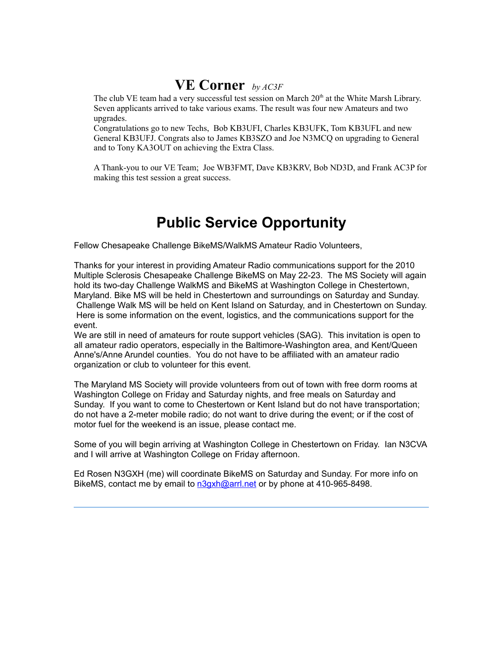#### **VE Corner** *by AC3F*

The club VE team had a very successful test session on March  $20<sup>th</sup>$  at the White Marsh Library. Seven applicants arrived to take various exams. The result was four new Amateurs and two upgrades.

Congratulations go to new Techs, Bob KB3UFI, Charles KB3UFK, Tom KB3UFL and new General KB3UFJ. Congrats also to James KB3SZO and Joe N3MCQ on upgrading to General and to Tony KA3OUT on achieving the Extra Class.

A Thank-you to our VE Team; Joe WB3FMT, Dave KB3KRV, Bob ND3D, and Frank AC3P for making this test session a great success.

### **Public Service Opportunity**

Fellow Chesapeake Challenge BikeMS/WalkMS Amateur Radio Volunteers,

Thanks for your interest in providing Amateur Radio communications support for the 2010 Multiple Sclerosis Chesapeake Challenge BikeMS on May 22-23. The MS Society will again hold its two-day Challenge WalkMS and BikeMS at Washington College in Chestertown, Maryland. Bike MS will be held in Chestertown and surroundings on Saturday and Sunday. Challenge Walk MS will be held on Kent Island on Saturday, and in Chestertown on Sunday. Here is some information on the event, logistics, and the communications support for the event.

We are still in need of amateurs for route support vehicles (SAG). This invitation is open to all amateur radio operators, especially in the Baltimore-Washington area, and Kent/Queen Anne's/Anne Arundel counties. You do not have to be affiliated with an amateur radio organization or club to volunteer for this event.

The Maryland MS Society will provide volunteers from out of town with free dorm rooms at Washington College on Friday and Saturday nights, and free meals on Saturday and Sunday. If you want to come to Chestertown or Kent Island but do not have transportation; do not have a 2-meter mobile radio; do not want to drive during the event; or if the cost of motor fuel for the weekend is an issue, please contact me.

Some of you will begin arriving at Washington College in Chestertown on Friday. Ian N3CVA and I will arrive at Washington College on Friday afternoon.

Ed Rosen N3GXH (me) will coordinate BikeMS on Saturday and Sunday. For more info on BikeMS, contact me by email to [n3gxh@arrl.net](http://us.mc540.mail.yahoo.com/mc/compose?to=n3gxh@arrl.net) or by phone at 410-965-8498.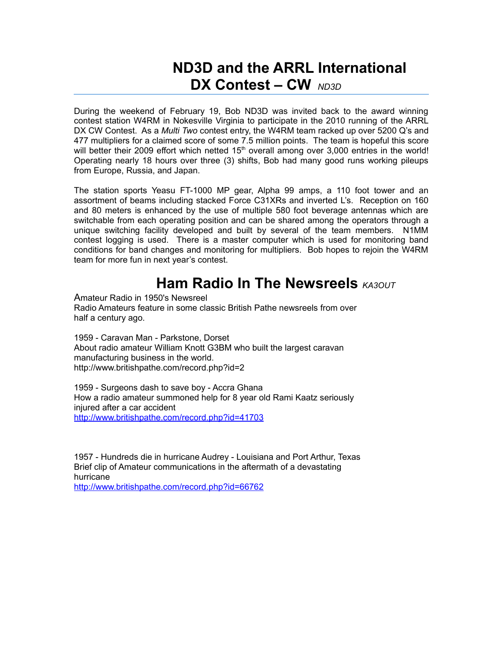## **ND3D and the ARRL International DX Contest – CW** *ND3D*

During the weekend of February 19, Bob ND3D was invited back to the award winning contest station W4RM in Nokesville Virginia to participate in the 2010 running of the ARRL DX CW Contest. As a *Multi Two* contest entry, the W4RM team racked up over 5200 Q's and 477 multipliers for a claimed score of some 7.5 million points. The team is hopeful this score will better their 2009 effort which netted  $15<sup>th</sup>$  overall among over 3,000 entries in the world! Operating nearly 18 hours over three (3) shifts, Bob had many good runs working pileups from Europe, Russia, and Japan.

The station sports Yeasu FT-1000 MP gear, Alpha 99 amps, a 110 foot tower and an assortment of beams including stacked Force C31XRs and inverted L's. Reception on 160 and 80 meters is enhanced by the use of multiple 580 foot beverage antennas which are switchable from each operating position and can be shared among the operators through a unique switching facility developed and built by several of the team members. N1MM contest logging is used. There is a master computer which is used for monitoring band conditions for band changes and monitoring for multipliers. Bob hopes to rejoin the W4RM team for more fun in next year's contest.

## **Ham Radio In The Newsreels** *KA3OUT*

Amateur Radio in 1950's Newsreel Radio Amateurs feature in some classic British Pathe newsreels from over half a century ago.

1959 - Caravan Man - Parkstone, Dorset About radio amateur William Knott G3BM who built the largest caravan manufacturing business in the world. http://www.britishpathe.com/record.php?id=2

1959 - Surgeons dash to save boy - Accra Ghana How a radio amateur summoned help for 8 year old Rami Kaatz seriously injured after a car accident <http://www.britishpathe.com/record.php?id=41703>

1957 - Hundreds die in hurricane Audrey - Louisiana and Port Arthur, Texas Brief clip of Amateur communications in the aftermath of a devastating hurricane <http://www.britishpathe.com/record.php?id=66762>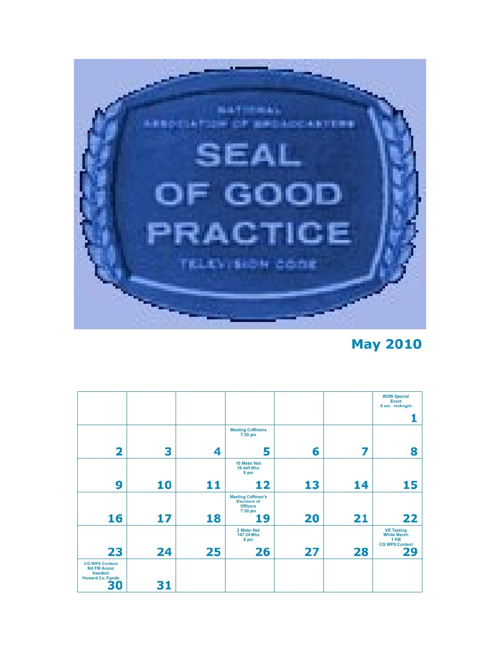

# **May 2010**

|                                                                                                |    |    |                                                                                     |    |    | <b>W2W Special</b><br>Event<br>9 am - midnight                          |
|------------------------------------------------------------------------------------------------|----|----|-------------------------------------------------------------------------------------|----|----|-------------------------------------------------------------------------|
|                                                                                                |    |    |                                                                                     |    |    |                                                                         |
|                                                                                                |    |    | <b>Meeting Coffmans</b><br>$7:30$ pm                                                |    |    |                                                                         |
| $\overline{\mathbf{2}}$                                                                        | 3  | 4  | 5                                                                                   | 6  | 7  | 8                                                                       |
|                                                                                                |    |    | <b>10 Meter Net</b><br>28,445 Mhz<br>8 pm                                           |    |    |                                                                         |
| 9                                                                                              | 10 | 11 | 12                                                                                  | 13 | 14 | 15                                                                      |
| 16                                                                                             | 17 | 18 | <b>Meeting Coffman's</b><br><b>Elections of</b><br><b>Officers</b><br>7:30 pm<br>19 | 20 | 21 | 22                                                                      |
|                                                                                                |    |    | 2 Meter Net<br>147.24 Mhz<br>8 pm                                                   |    |    | <b>VE Testing</b><br><b>White Marsh</b><br>1PM<br><b>CQ WPX Contest</b> |
| 23                                                                                             | 24 | 25 | 26                                                                                  | 27 | 28 | 29                                                                      |
| <b>CQ WPX Contest</b><br><b>Md FM Assoc</b><br><b>Hamfest</b><br><b>Howard Co. Fgnds</b><br>30 | 31 |    |                                                                                     |    |    |                                                                         |